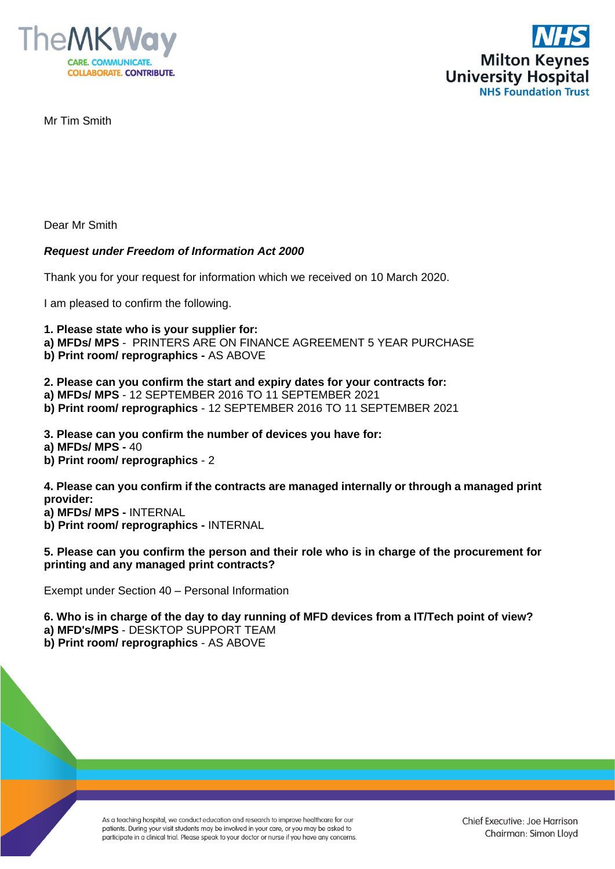



Mr Tim Smith

Dear Mr Smith

## *Request under Freedom of Information Act 2000*

Thank you for your request for information which we received on 10 March 2020.

I am pleased to confirm the following.

**1. Please state who is your supplier for:** 

- **a) MFDs/ MPS** PRINTERS ARE ON FINANCE AGREEMENT 5 YEAR PURCHASE
- **b) Print room/ reprographics -** AS ABOVE

**2. Please can you confirm the start and expiry dates for your contracts for:** 

- **a) MFDs/ MPS** 12 SEPTEMBER 2016 TO 11 SEPTEMBER 2021
- **b) Print room/ reprographics** 12 SEPTEMBER 2016 TO 11 SEPTEMBER 2021
- **3. Please can you confirm the number of devices you have for:**
- **a) MFDs/ MPS -** 40
- **b) Print room/ reprographics** 2

**4. Please can you confirm if the contracts are managed internally or through a managed print provider:** 

- **a) MFDs/ MPS -** INTERNAL
- **b) Print room/ reprographics -** INTERNAL

## **5. Please can you confirm the person and their role who is in charge of the procurement for printing and any managed print contracts?**

Exempt under Section 40 – Personal Information

- **6. Who is in charge of the day to day running of MFD devices from a IT/Tech point of view?**
- **a) MFD's/MPS** DESKTOP SUPPORT TEAM

**b) Print room/ reprographics** - AS ABOVE